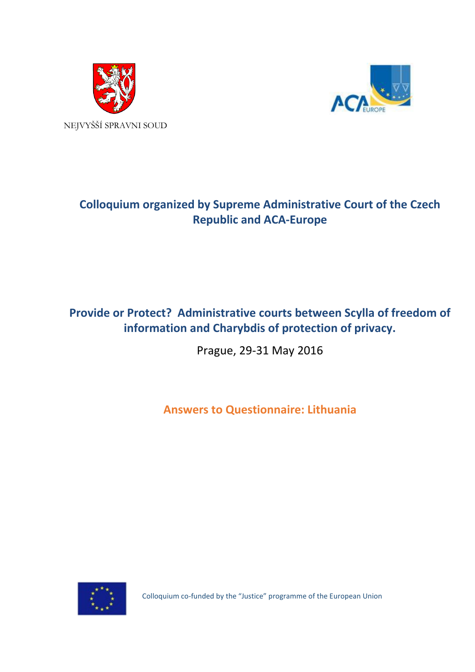



# **Colloquium organized by Supreme Administrative Court of the Czech Republic and ACA-Europe**

## **Provide or Protect? Administrative courts between Scylla of freedom of information and Charybdis of protection of privacy.**

Prague, 29-31 May 2016

**Answers to Questionnaire: Lithuania**



Colloquium co-funded by the "Justice" programme of the European Union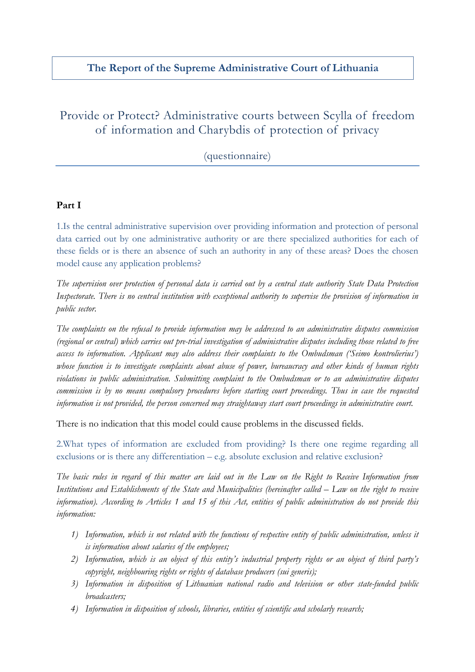### **The Report of the Supreme Administrative Court of Lithuania**

## Provide or Protect? Administrative courts between Scylla of freedom of information and Charybdis of protection of privacy

(questionnaire)

### **Part I**

1.Is the central administrative supervision over providing information and protection of personal data carried out by one administrative authority or are there specialized authorities for each of these fields or is there an absence of such an authority in any of these areas? Does the chosen model cause any application problems?

*The supervision over protection of personal data is carried out by a central state authority State Data Protection Inspectorate. There is no central institution with exceptional authority to supervise the provision of information in public sector.* 

*The complaints on the refusal to provide information may be addressed to an administrative disputes commission (regional or central) which carries out pre-trial investigation of administrative disputes including those related to free access to information. Applicant may also address their complaints to the Ombudsman ('Seimo kontrolierius') whose function is to investigate complaints about abuse of power, bureaucracy and other kinds of human rights violations in public administration. Submitting complaint to the Ombudsman or to an administrative disputes commission is by no means compulsory procedures before starting court proceedings. Thus in case the requested information is not provided, the person concerned may straightaway start court proceedings in administrative court.*

There is no indication that this model could cause problems in the discussed fields.

2.What types of information are excluded from providing? Is there one regime regarding all exclusions or is there any differentiation  $-$  e.g. absolute exclusion and relative exclusion?

*The basic rules in regard of this matter are laid out in the Law on the Right to Receive Information from Institutions and Establishments of the State and Municipalities (hereinafter called – Law on the right to receive information). According to Articles 1 and 15 of this Act, entities of public administration do not provide this information:*

- *1) Information, which is not related with the functions of respective entity of public administration, unless it is information about salaries of the employees;*
- *2) Information, which is an object of this entity's industrial property rights or an object of third party's copyright, neighbouring rights or rights of database producers (sui generis);*
- *3) Information in disposition of Lithuanian national radio and television or other state-funded public broadcasters;*
- *4) Information in disposition of schools, libraries, entities of scientific and scholarly research;*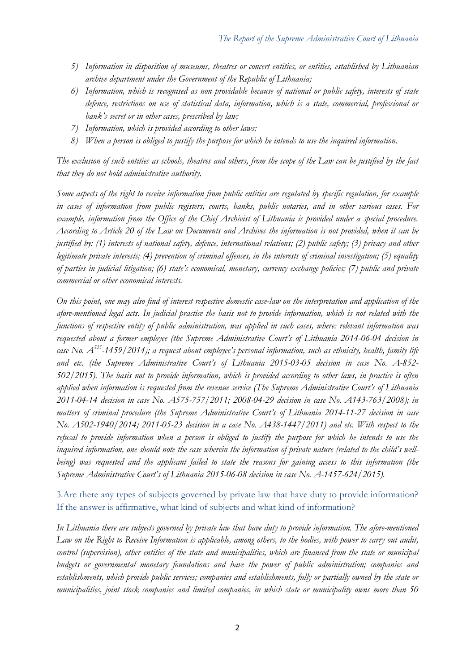- *5) Information in disposition of museums, theatres or concert entities, or entities, established by Lithuanian archive department under the Government of the Republic of Lithuania;*
- *6) Information, which is recognised as non providable because of national or public safety, interests of state defence, restrictions on use of statistical data, information, which is a state, commercial, professional or bank's secret or in other cases, prescribed by law;*
- *7) Information, which is provided according to other laws;*
- *8) When a person is obliged to justify the purpose for which he intends to use the inquired information.*

*The exclusion of such entities as schools, theatres and others, from the scope of the Law can be justified by the fact that they do not hold administrative authority.* 

*Some aspects of the right to receive information from public entities are regulated by specific regulation, for example in cases of information from public registers, courts, banks, public notaries, and in other various cases. For example, information from the Office of the Chief Archivist of Lithuania is provided under a special procedure. According to Article 20 of the Law on Documents and Archives the information is not provided, when it can be justified by: (1) interests of national safety, defence, international relations; (2) public safety; (3) privacy and other legitimate private interests; (4) prevention of criminal offences, in the interests of criminal investigation; (5) equality of parties in judicial litigation; (6) state's economical, monetary, currency exchange policies; (7) public and private commercial or other economical interests.* 

*On this point, one may also find of interest respective domestic case-law on the interpretation and application of the afore-mentioned legal acts. In judicial practice the basis not to provide information, which is not related with the functions of respective entity of public administration, was applied in such cases, where: relevant information was requested about a former employee (the Supreme Administrative Court's of Lithuania 2014-06-04 decision in case No. A525-1459/2014); a request about employee's personal information, such as ethnicity, health, family life and etc. (the Supreme Administrative Court's of Lithuania 2015-03-05 decision in case No. A-852- 502/2015). The basis not to provide information, which is provided according to other laws, in practice is often applied when information is requested from the revenue service (The Supreme Administrative Court's of Lithuania 2011-04-14 decision in case No. A575-757/2011; 2008-04-29 decision in case No. A143-763/2008); in matters of criminal procedure (the Supreme Administrative Court's of Lithuania 2014-11-27 decision in case No. A502-1940/2014; 2011-05-23 decision in a case No. A438-1447/2011) and etc. With respect to the refusal to provide information when a person is obliged to justify the purpose for which he intends to use the inquired information, one should note the case wherein the information of private nature (related to the child's wellbeing) was requested and the applicant failed to state the reasons for gaining access to this information (the Supreme Administrative Court's of Lithuania 2015-06-08 decision in case No. A-1457-624/2015).*

### 3.Are there any types of subjects governed by private law that have duty to provide information? If the answer is affirmative, what kind of subjects and what kind of information?

*In Lithuania there are subjects governed by private law that have duty to provide information. The afore-mentioned*  Law on the Right to Receive Information is applicable, among others, to the bodies, with power to carry out audit, *control (supervision), other entities of the state and municipalities, which are financed from the state or municipal budgets or governmental monetary foundations and have the power of public administration; companies and establishments, which provide public services; companies and establishments, fully or partially owned by the state or municipalities, joint stock companies and limited companies, in which state or municipality owns more than 50*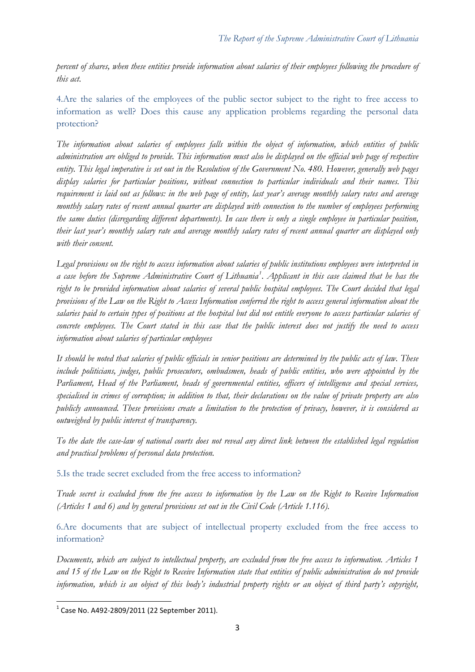*percent of shares, when these entities provide information about salaries of their employees following the procedure of this act.*

4.Are the salaries of the employees of the public sector subject to the right to free access to information as well? Does this cause any application problems regarding the personal data protection?

*The information about salaries of employees falls within the object of information, which entities of public administration are obliged to provide. This information must also be displayed on the official web page of respective entity. This legal imperative is set out in the Resolution of the Government No. 480. However, generally web pages display salaries for particular positions, without connection to particular individuals and their names. This requirement is laid out as follows: in the web page of entity, last year's average monthly salary rates and average monthly salary rates of recent annual quarter are displayed with connection to the number of employees performing the same duties (disregarding different departments). In case there is only a single employee in particular position, their last year's monthly salary rate and average monthly salary rates of recent annual quarter are displayed only with their consent.*

*Legal provisions on the right to access information about salaries of public institutions employees were interpreted in a case before the Supreme Administrative Court of Lithuania[1](#page-3-0) . Applicant in this case claimed that he has the right to be provided information about salaries of several public hospital employees. The Court decided that legal provisions of the Law on the Right to Access Information conferred the right to access general information about the salaries paid to certain types of positions at the hospital but did not entitle everyone to access particular salaries of concrete employees. The Court stated in this case that the public interest does not justify the need to access information about salaries of particular employees*

*It should be noted that salaries of public officials in senior positions are determined by the public acts of law. These include politicians, judges, public prosecutors, ombudsmen, heads of public entities, who were appointed by the Parliament, Head of the Parliament, heads of governmental entities, officers of intelligence and special services, specialised in crimes of corruption; in addition to that, their declarations on the value of private property are also publicly announced. These provisions create a limitation to the protection of privacy, however, it is considered as outweighed by public interest of transparency.* 

*To the date the case-law of national courts does not reveal any direct link between the established legal regulation and practical problems of personal data protection.*

5.Is the trade secret excluded from the free access to information?

*Trade secret is excluded from the free access to information by the Law on the Right to Receive Information (Articles 1 and 6) and by general provisions set out in the Civil Code (Article 1.116).* 

6.Are documents that are subject of intellectual property excluded from the free access to information?

*Documents, which are subject to intellectual property, are excluded from the free access to information. Articles 1 and 15 of the Law on the Right to Receive Information state that entities of public administration do not provide information, which is an object of this body's industrial property rights or an object of third party's copyright,* 

<span id="page-3-0"></span> $1$  Case No. A492-2809/2011 (22 September 2011).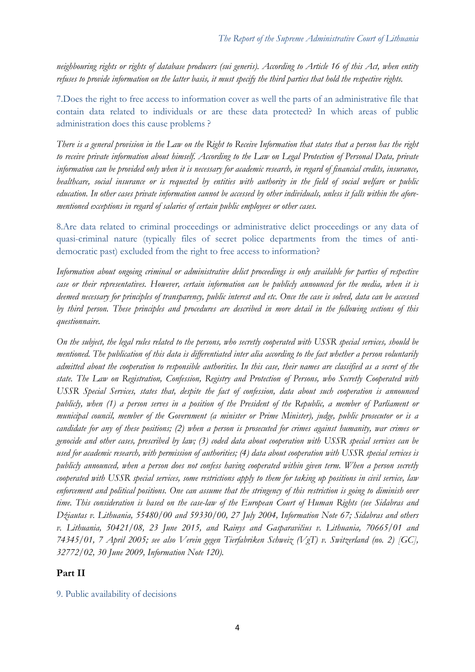*neighbouring rights or rights of database producers (sui generis). According to Article 16 of this Act, when entity refuses to provide information on the latter basis, it must specify the third parties that hold the respective rights.*

7.Does the right to free access to information cover as well the parts of an administrative file that contain data related to individuals or are these data protected? In which areas of public administration does this cause problems ?

*There is a general provision in the Law on the Right to Receive Information that states that a person has the right to receive private information about himself. According to the Law on Legal Protection of Personal Data, private information can be provided only when it is necessary for academic research, in regard of financial credits, insurance, healthcare, social insurance or is requested by entities with authority in the field of social welfare or public education. In other cases private information cannot be accessed by other individuals, unless it falls within the aforementioned exceptions in regard of salaries of certain public employees or other cases.*

8.Are data related to criminal proceedings or administrative delict proceedings or any data of quasi-criminal nature (typically files of secret police departments from the times of antidemocratic past) excluded from the right to free access to information?

*Information about ongoing criminal or administrative delict proceedings is only available for parties of respective case or their representatives. However, certain information can be publicly announced for the media, when it is deemed necessary for principles of transparency, public interest and etc. Once the case is solved, data can be accessed by third person. These principles and procedures are described in more detail in the following sections of this questionnaire.* 

*On the subject, the legal rules related to the persons, who secretly cooperated with USSR special services, should be mentioned. The publication of this data is differentiated inter alia according to the fact whether a person voluntarily admitted about the cooperation to responsible authorities. In this case, their names are classified as a secret of the state. The Law on Registration, Confession, Registry and Protection of Persons, who Secretly Cooperated with USSR Special Services, states that, despite the fact of confession, data about such cooperation is announced publicly, when (1) a person serves in a position of the President of the Republic, a member of Parliament or municipal council, member of the Government (a minister or Prime Minister), judge, public prosecutor or is a candidate for any of these positions; (2) when a person is prosecuted for crimes against humanity, war crimes or genocide and other cases, prescribed by law; (3) coded data about cooperation with USSR special services can be used for academic research, with permission of authorities; (4) data about cooperation with USSR special services is publicly announced, when a person does not confess having cooperated within given term. When a person secretly cooperated with USSR special services, some restrictions apply to them for taking up positions in civil service, law enforcement and political positions. One can assume that the stringency of this restriction is going to diminish over time. This consideration is based on the case-law of the European Court of Human Rights (see Sidabras and Džiautas v. Lithuania, 55480/00 and 59330/00, 27 July 2004, Information Note 67; Sidabras and others v. Lithuania, 50421/08, 23 June 2015, and Rainys and Gasparavičius v. Lithuania, 70665/01 and 74345/01, 7 April 2005; see also Verein gegen Tierfabriken Schweiz (VgT) v. Switzerland (no. 2) [GC], 32772/02, 30 June 2009, Information Note 120).*

#### **Part II**

#### 9. Public availability of decisions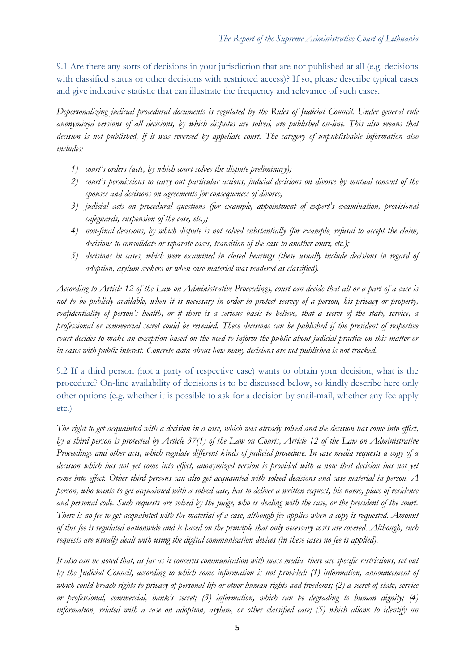9.1 Are there any sorts of decisions in your jurisdiction that are not published at all (e.g. decisions with classified status or other decisions with restricted access)? If so, please describe typical cases and give indicative statistic that can illustrate the frequency and relevance of such cases.

*Depersonalizing judicial procedural documents is regulated by the Rules of Judicial Council. Under general rule anonymized versions of all decisions, by which disputes are solved, are published on-line. This also means that decision is not published, if it was reversed by appellate court. The category of unpublishable information also includes:*

- *1) court's orders (acts, by which court solves the dispute preliminary);*
- *2) court's permissions to carry out particular actions, judicial decisions on divorce by mutual consent of the spouses and decisions on agreements for consequences of divorce;*
- *3) judicial acts on procedural questions (for example, appointment of expert's examination, provisional safeguards, suspension of the case, etc.);*
- *4) non-final decisions, by which dispute is not solved substantially (for example, refusal to accept the claim, decisions to consolidate or separate cases, transition of the case to another court, etc.);*
- *5) decisions in cases, which were examined in closed hearings (these usually include decisions in regard of adoption, asylum seekers or when case material was rendered as classified).*

*According to Article 12 of the Law on Administrative Proceedings, court can decide that all or a part of a case is not to be publicly available, when it is necessary in order to protect secrecy of a person, his privacy or property, confidentiality of person's health, or if there is a serious basis to believe, that a secret of the state, service, a professional or commercial secret could be revealed. These decisions can be published if the president of respective court decides to make an exception based on the need to inform the public about judicial practice on this matter or in cases with public interest. Concrete data about how many decisions are not published is not tracked.*

9.2 If a third person (not a party of respective case) wants to obtain your decision, what is the procedure? On-line availability of decisions is to be discussed below, so kindly describe here only other options (e.g. whether it is possible to ask for a decision by snail-mail, whether any fee apply etc.)

*The right to get acquainted with a decision in a case, which was already solved and the decision has come into effect, by a third person is protected by Article 37(1) of the Law on Courts, Article 12 of the Law on Administrative Proceedings and other acts, which regulate different kinds of judicial procedure. In case media requests a copy of a decision which has not yet come into effect, anonymized version is provided with a note that decision has not yet come into effect. Other third persons can also get acquainted with solved decisions and case material in person. A person, who wants to get acquainted with a solved case, has to deliver a written request, his name, place of residence and personal code. Such requests are solved by the judge, who is dealing with the case, or the president of the court. There is no fee to get acquainted with the material of a case, although fee applies when a copy is requested. Amount of this fee is regulated nationwide and is based on the principle that only necessary costs are covered. Although, such requests are usually dealt with using the digital communication devices (in these cases no fee is applied).*

*It also can be noted that, as far as it concerns communication with mass media, there are specific restrictions, set out by the Judicial Council, according to which some information is not provided: (1) information, announcement of which could breach rights to privacy of personal life or other human rights and freedoms; (2) a secret of state, service or professional, commercial, bank's secret; (3) information, which can be degrading to human dignity; (4) information, related with a case on adoption, asylum, or other classified case; (5) which allows to identify un*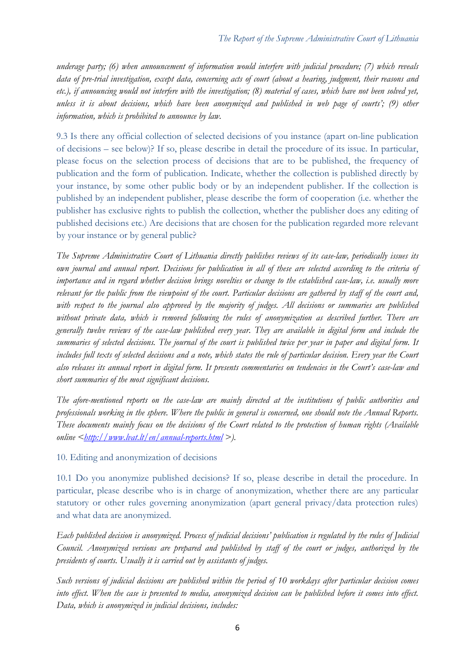*underage party; (6) when announcement of information would interfere with judicial procedure; (7) which reveals data of pre-trial investigation, except data, concerning acts of court (about a hearing, judgment, their reasons and etc.), if announcing would not interfere with the investigation; (8) material of cases, which have not been solved yet, unless it is about decisions, which have been anonymized and published in web page of courts'; (9) other information, which is prohibited to announce by law.*

9.3 Is there any official collection of selected decisions of you instance (apart on-line publication of decisions – see below)? If so, please describe in detail the procedure of its issue. In particular, please focus on the selection process of decisions that are to be published, the frequency of publication and the form of publication. Indicate, whether the collection is published directly by your instance, by some other public body or by an independent publisher. If the collection is published by an independent publisher, please describe the form of cooperation (i.e. whether the publisher has exclusive rights to publish the collection, whether the publisher does any editing of published decisions etc.) Are decisions that are chosen for the publication regarded more relevant by your instance or by general public?

*The Supreme Administrative Court of Lithuania directly publishes reviews of its case-law, periodically issues its own journal and annual report. Decisions for publication in all of these are selected according to the criteria of importance and in regard whether decision brings novelties or change to the established case-law, i.e. usually more relevant for the public from the viewpoint of the court. Particular decisions are gathered by staff of the court and, with respect to the journal also approved by the majority of judges. All decisions or summaries are published without private data, which is removed following the rules of anonymization as described further. There are generally twelve reviews of the case-law published every year. They are available in digital form and include the summaries of selected decisions. The journal of the court is published twice per year in paper and digital form. It includes full texts of selected decisions and a note, which states the rule of particular decision. Every year the Court also releases its annual report in digital form. It presents commentaries on tendencies in the Court's case-law and short summaries of the most significant decisions.*

*The afore-mentioned reports on the case-law are mainly directed at the institutions of public authorities and professionals working in the sphere. Where the public in general is concerned, one should note the Annual Reports. These documents mainly focus on the decisions of the Court related to the protection of human rights (Available online [<http://www.lvat.lt/en/annual-reports.html](http://www.lvat.lt/en/annual-reports.html) >).*

10. Editing and anonymization of decisions

10.1 Do you anonymize published decisions? If so, please describe in detail the procedure. In particular, please describe who is in charge of anonymization, whether there are any particular statutory or other rules governing anonymization (apart general privacy/data protection rules) and what data are anonymized.

*Each published decision is anonymized. Process of judicial decisions' publication is regulated by the rules of Judicial Council. Anonymized versions are prepared and published by staff of the court or judges, authorized by the presidents of courts. Usually it is carried out by assistants of judges.*

*Such versions of judicial decisions are published within the period of 10 workdays after particular decision comes into effect. When the case is presented to media, anonymized decision can be published before it comes into effect. Data, which is anonymized in judicial decisions, includes:*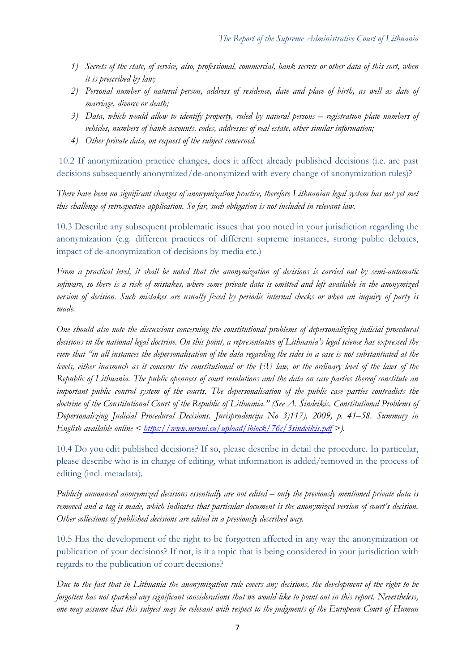- *1) Secrets of the state, of service, also, professional, commercial, bank secrets or other data of this sort, when it is prescribed by law;*
- *2) Personal number of natural person, address of residence, date and place of birth, as well as date of marriage, divorce or death;*
- *3) Data, which would allow to identify property, ruled by natural persons – registration plate numbers of vehicles, numbers of bank accounts, codes, addresses of real estate, other similar information;*
- *4) Other private data, on request of the subject concerned.*

10.2 If anonymization practice changes, does it affect already published decisions (i.e. are past decisions subsequently anonymized/de-anonymized with every change of anonymization rules)?

*There have been no significant changes of anonymization practice, therefore Lithuanian legal system has not yet met this challenge of retrospective application. So far, such obligation is not included in relevant law.*

10.3 Describe any subsequent problematic issues that you noted in your jurisdiction regarding the anonymization (e.g. different practices of different supreme instances, strong public debates, impact of de-anonymization of decisions by media etc.)

*From a practical level, it shall be noted that the anonymization of decisions is carried out by semi-automatic software, so there is a risk of mistakes, where some private data is omitted and left available in the anonymized version of decision. Such mistakes are usually fixed by periodic internal checks or when an inquiry of party is made.*

*One should also note the discussions concerning the constitutional problems of depersonalizing judicial procedural decisions in the national legal doctrine. On this point, a representative of Lithuania's legal science has expressed the view that "in all instances the depersonalisation of the data regarding the sides in a case is not substantiated at the levels, either inasmuch as it concerns the constitutional or the EU law, or the ordinary level of the laws of the Republic of Lithuania. The public openness of court resolutions and the data on case parties thereof constitute an important public control system of the courts. The depersonalisation of the public case parties contradicts the*  doctrine of the Constitutional Court of the Republic of Lithuania." (See A. Šindeikis. Constitutional Problems of *Depersonalizing Judicial Procedural Decisions. Jurisprudencija No 3)117), 2009, p. 41–58. Summary in English available online < <https://www.mruni.eu/upload/iblock/76c/3sindeikis.pdf> >).* 

10.4 Do you edit published decisions? If so, please describe in detail the procedure. In particular, please describe who is in charge of editing, what information is added/removed in the process of editing (incl. metadata).

*Publicly announced anonymized decisions essentially are not edited – only the previously mentioned private data is removed and a tag is made, which indicates that particular document is the anonymized version of court's decision. Other collections of published decisions are edited in a previously described way.*

10.5 Has the development of the right to be forgotten affected in any way the anonymization or publication of your decisions? If not, is it a topic that is being considered in your jurisdiction with regards to the publication of court decisions?

*Due to the fact that in Lithuania the anonymization rule covers any decisions, the development of the right to be forgotten has not sparked any significant considerations that we would like to point out in this report. Nevertheless, one may assume that this subject may be relevant with respect to the judgments of the European Court of Human*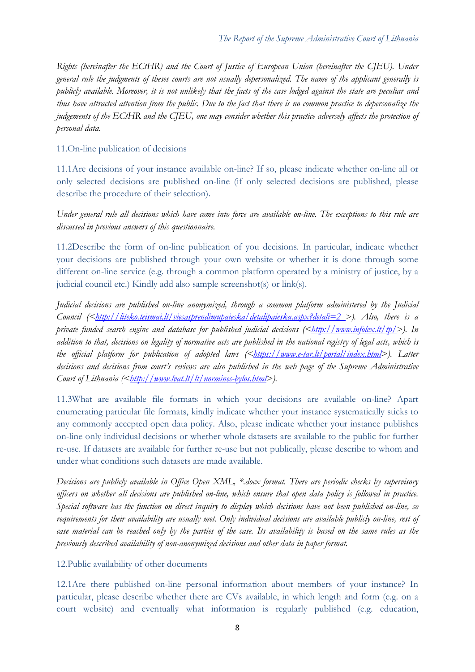*Rights (hereinafter the ECtHR) and the Court of Justice of European Union (hereinafter the CJEU). Under general rule the judgments of theses courts are not usually depersonalized. The name of the applicant generally is publicly available. Moreover, it is not unlikely that the facts of the case lodged against the state are peculiar and thus have attracted attention from the public. Due to the fact that there is no common practice to depersonalize the judgements of the ECtHR and the CJEU, one may consider whether this practice adversely affects the protection of personal data.* 

### 11.On-line publication of decisions

11.1Are decisions of your instance available on-line? If so, please indicate whether on-line all or only selected decisions are published on-line (if only selected decisions are published, please describe the procedure of their selection).

*Under general rule all decisions which have come into force are available on-line. The exceptions to this rule are discussed in previous answers of this questionnaire.*

11.2Describe the form of on-line publication of you decisions. In particular, indicate whether your decisions are published through your own website or whether it is done through some different on-line service (e.g. through a common platform operated by a ministry of justice, by a judicial council etc.) Kindly add also sample screenshot(s) or link(s).

*Judicial decisions are published on-line anonymized, through a common platform administered by the Judicial Council* (<<u>http://liteko.teismai.lt/viesasprendimupaieska/detalipaieska.aspx?detali=2 >). Also, there is a</u> *private funded search engine and database for published judicial decisions ([<http://www.infolex.lt/tp/>](http://www.infolex.lt/tp/)). In addition to that, decisions on legality of normative acts are published in the national registry of legal acts, which is the official platform for publication of adopted laws ([<https://www.e-tar.lt/portal/index.html>](https://www.e-tar.lt/portal/index.html)). Latter decisions and decisions from court's reviews are also published in the web page of the Supreme Administrative Court of Lithuania* (<*http://www.lvat.lt/lt/normines-bylos.html*>).

11.3What are available file formats in which your decisions are available on-line? Apart enumerating particular file formats, kindly indicate whether your instance systematically sticks to any commonly accepted open data policy. Also, please indicate whether your instance publishes on-line only individual decisions or whether whole datasets are available to the public for further re-use. If datasets are available for further re-use but not publically, please describe to whom and under what conditions such datasets are made available.

*Decisions are publicly available in Office Open XML, \*.docx format. There are periodic checks by supervisory officers on whether all decisions are published on-line, which ensure that open data policy is followed in practice. Special software has the function on direct inquiry to display which decisions have not been published on-line, so requirements for their availability are usually met. Only individual decisions are available publicly on-line, rest of case material can be reached only by the parties of the case. Its availability is based on the same rules as the previously described availability of non-anonymized decisions and other data in paper format.*

12.Public availability of other documents

12.1Are there published on-line personal information about members of your instance? In particular, please describe whether there are CVs available, in which length and form (e.g. on a court website) and eventually what information is regularly published (e.g. education,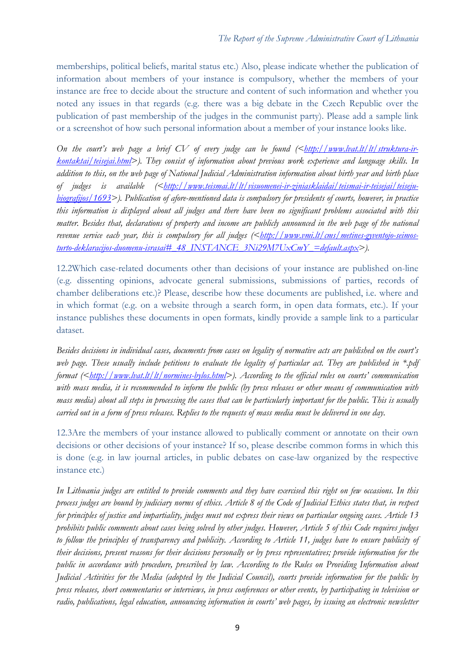memberships, political beliefs, marital status etc.) Also, please indicate whether the publication of information about members of your instance is compulsory, whether the members of your instance are free to decide about the structure and content of such information and whether you noted any issues in that regards (e.g. there was a big debate in the Czech Republic over the publication of past membership of the judges in the communist party). Please add a sample link or a screenshot of how such personal information about a member of your instance looks like.

*On the court's web page a brief CV of every judge can be found ([<http://www.lvat.lt/lt/struktura-ir](http://www.lvat.lt/lt/struktura-ir-kontaktai/teisejai.html)[kontaktai/teisejai.html>](http://www.lvat.lt/lt/struktura-ir-kontaktai/teisejai.html)). They consist of information about previous work experience and language skills. In addition to this, on the web page of National Judicial Administration information about birth year and birth place of judges is available ([<http://www.teismai.lt/lt/visuomenei-ir-ziniasklaidai/teismai-ir-teisejai/teiseju](http://www.teismai.lt/lt/visuomenei-ir-ziniasklaidai/teismai-ir-teisejai/teiseju-biografijos/1693)[biografijos/1693>](http://www.teismai.lt/lt/visuomenei-ir-ziniasklaidai/teismai-ir-teisejai/teiseju-biografijos/1693)). Publication of afore-mentioned data is compulsory for presidents of courts, however, in practice this information is displayed about all judges and there have been no significant problems associated with this matter. Besides that, declarations of property and income are publicly announced in the web page of the national*  revenue service each year, this is compulsory for all judges ([<http://www.vmi.lt/cms/metines-gyventojo-seimos](http://www.vmi.lt/cms/metines-gyventojo-seimos-turto-deklaracijos-duomenu-israsai#_48_INSTANCE_3Ni29M7UxCmY_=default.aspx)*[turto-deklaracijos-duomenu-israsai#\\_48\\_INSTANCE\\_3Ni29M7UxCmY\\_=default.aspx>](http://www.vmi.lt/cms/metines-gyventojo-seimos-turto-deklaracijos-duomenu-israsai#_48_INSTANCE_3Ni29M7UxCmY_=default.aspx)).*

12.2Which case-related documents other than decisions of your instance are published on-line (e.g. dissenting opinions, advocate general submissions, submissions of parties, records of chamber deliberations etc.)? Please, describe how these documents are published, i.e. where and in which format (e.g. on a website through a search form, in open data formats, etc.). If your instance publishes these documents in open formats, kindly provide a sample link to a particular dataset.

*Besides decisions in individual cases, documents from cases on legality of normative acts are published on the court's web page. These usually include petitions to evaluate the legality of particular act. They are published in \*.pdf format*  $(\leq_{\text{http://www.bat.lt/lt/normines-bylos.html})$ . According to the official rules on courts' communication *with mass media, it is recommended to inform the public (by press releases or other means of communication with mass media) about all steps in processing the cases that can be particularly important for the public. This is usually carried out in a form of press releases. Replies to the requests of mass media must be delivered in one day.*

12.3Are the members of your instance allowed to publically comment or annotate on their own decisions or other decisions of your instance? If so, please describe common forms in which this is done (e.g. in law journal articles, in public debates on case-law organized by the respective instance etc.)

*In Lithuania judges are entitled to provide comments and they have exercised this right on few occasions. In this process judges are bound by judiciary norms of ethics. Article 8 of the Code of Judicial Ethics states that, in respect for principles of justice and impartiality, judges must not express their views on particular ongoing cases. Article 13 prohibits public comments about cases being solved by other judges. However, Article 5 of this Code requires judges to follow the principles of transparency and publicity. According to Article 11, judges have to ensure publicity of their decisions, present reasons for their decisions personally or by press representatives; provide information for the public in accordance with procedure, prescribed by law. According to the Rules on Providing Information about Judicial Activities for the Media (adopted by the Judicial Council), courts provide information for the public by press releases, short commentaries or interviews, in press conferences or other events, by participating in television or radio, publications, legal education, announcing information in courts' web pages, by issuing an electronic newsletter*